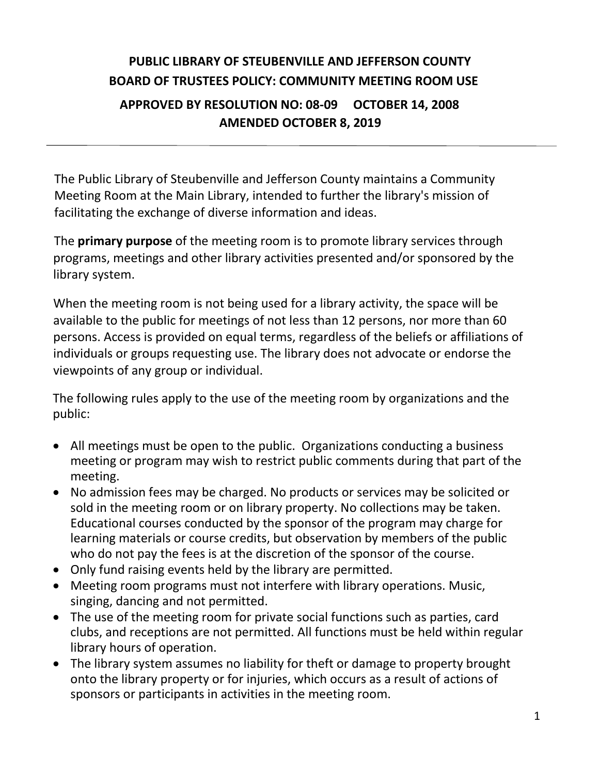## **PUBLIC LIBRARY OF STEUBENVILLE AND JEFFERSON COUNTY BOARD OF TRUSTEES POLICY: COMMUNITY MEETING ROOM USE APPROVED BY RESOLUTION NO: 08-09 OCTOBER 14, 2008 AMENDED OCTOBER 8, 2019**

The Public Library of Steubenville and Jefferson County maintains a Community Meeting Room at the Main Library, intended to further the library's mission of facilitating the exchange of diverse information and ideas.

The **primary purpose** of the meeting room is to promote library services through programs, meetings and other library activities presented and/or sponsored by the library system.

When the meeting room is not being used for a library activity, the space will be available to the public for meetings of not less than 12 persons, nor more than 60 persons. Access is provided on equal terms, regardless of the beliefs or affiliations of individuals or groups requesting use. The library does not advocate or endorse the viewpoints of any group or individual.

The following rules apply to the use of the meeting room by organizations and the public:

- All meetings must be open to the public. Organizations conducting a business meeting or program may wish to restrict public comments during that part of the meeting.
- No admission fees may be charged. No products or services may be solicited or sold in the meeting room or on library property. No collections may be taken. Educational courses conducted by the sponsor of the program may charge for learning materials or course credits, but observation by members of the public who do not pay the fees is at the discretion of the sponsor of the course.
- Only fund raising events held by the library are permitted.
- Meeting room programs must not interfere with library operations. Music, singing, dancing and not permitted.
- The use of the meeting room for private social functions such as parties, card clubs, and receptions are not permitted. All functions must be held within regular library hours of operation.
- The library system assumes no liability for theft or damage to property brought onto the library property or for injuries, which occurs as a result of actions of sponsors or participants in activities in the meeting room.